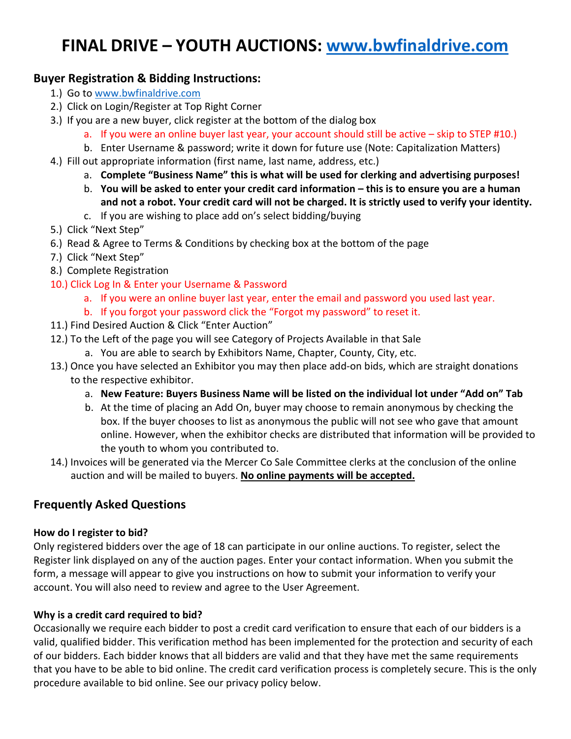# **FINAL DRIVE – YOUTH AUCTIONS: [www.bwfinaldrive.com](http://www.bwfinaldrive.com/)**

# **Buyer Registration & Bidding Instructions:**

- 1.) Go t[o www.bwfinaldrive.com](http://www.bwfinaldrive.com/)
- 2.) Click on Login/Register at Top Right Corner
- 3.) If you are a new buyer, click register at the bottom of the dialog box
	- a. If you were an online buyer last year, your account should still be active skip to STEP #10.)
	- b. Enter Username & password; write it down for future use (Note: Capitalization Matters)
- 4.) Fill out appropriate information (first name, last name, address, etc.)
	- a. **Complete "Business Name" this is what will be used for clerking and advertising purposes!**
	- b. **You will be asked to enter your credit card information – this is to ensure you are a human and not a robot. Your credit card will not be charged. It is strictly used to verify your identity.**
	- c. If you are wishing to place add on's select bidding/buying
- 5.) Click "Next Step"
- 6.) Read & Agree to Terms & Conditions by checking box at the bottom of the page
- 7.) Click "Next Step"
- 8.) Complete Registration
- 10.) Click Log In & Enter your Username & Password
	- a. If you were an online buyer last year, enter the email and password you used last year.
	- b. If you forgot your password click the "Forgot my password" to reset it.
- 11.) Find Desired Auction & Click "Enter Auction"
- 12.) To the Left of the page you will see Category of Projects Available in that Sale
	- a. You are able to search by Exhibitors Name, Chapter, County, City, etc.
- 13.) Once you have selected an Exhibitor you may then place add-on bids, which are straight donations to the respective exhibitor.
	- a. **New Feature: Buyers Business Name will be listed on the individual lot under "Add on" Tab**
	- b. At the time of placing an Add On, buyer may choose to remain anonymous by checking the box. If the buyer chooses to list as anonymous the public will not see who gave that amount online. However, when the exhibitor checks are distributed that information will be provided to the youth to whom you contributed to.
- 14.) Invoices will be generated via the Mercer Co Sale Committee clerks at the conclusion of the online auction and will be mailed to buyers. **No online payments will be accepted.**

# **Frequently Asked Questions**

## **How do I register to bid?**

Only registered bidders over the age of 18 can participate in our online auctions. To register, select the Register link displayed on any of the auction pages. Enter your contact information. When you submit the form, a message will appear to give you instructions on how to submit your information to verify your account. You will also need to review and agree to the User Agreement.

## **Why is a credit card required to bid?**

Occasionally we require each bidder to post a credit card verification to ensure that each of our bidders is a valid, qualified bidder. This verification method has been implemented for the protection and security of each of our bidders. Each bidder knows that all bidders are valid and that they have met the same requirements that you have to be able to bid online. The credit card verification process is completely secure. This is the only procedure available to bid online. See our privacy policy below.